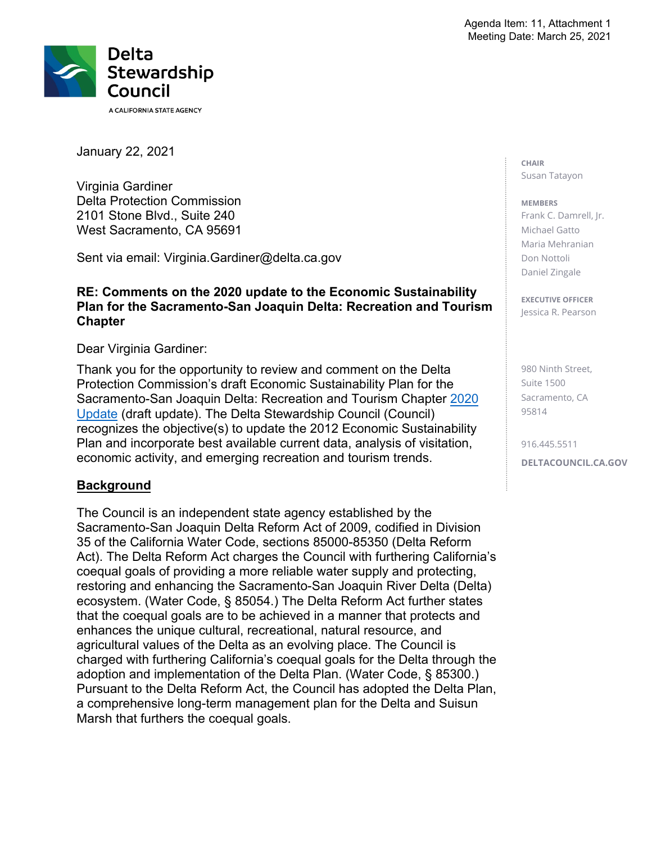

January 22, 2021

Virginia Gardiner Delta Protection Commission 2101 Stone Blvd., Suite 240 West Sacramento, CA 95691

Sent via email: [Virginia.Gardiner@delta.ca.gov](mailto:Virginia.Gardiner@delta.ca.gov) 

### **RE: Comments on the 2020 update to the Economic Sustainability Plan for the Sacramento-San Joaquin Delta: Recreation and Tourism Chapter**

Dear Virginia Gardiner:

Thank you for the opportunity to review and comment on the Delta Protection Commission's draft Economic Sustainability Plan for the Sacramento-San Joaquin Delta: Recreation and Tourism Chapter 2020 Update (draft update). The Delta Stewardship Council (Council) recognizes the objective(s) to update the 2012 Economic Sustainability Plan and incorporate best available current data, analysis of visitation, economic activity, and emerging recreation and tourism trends.

### **Background**

The Council is an independent state agency established by the Sacramento-San Joaquin Delta Reform Act of 2009, codified in Division 35 of the California Water Code, sections 85000-85350 (Delta Reform Act). The Delta Reform Act charges the Council with furthering California's coequal goals of providing a more reliable water supply and protecting, restoring and enhancing the Sacramento-San Joaquin River Delta (Delta) ecosystem. (Water Code, § 85054.) The Delta Reform Act further states that the coequal goals are to be achieved in a manner that protects and enhances the unique cultural, recreational, natural resource, and agricultural values of the Delta as an evolving place. The Council is charged with furthering California's coequal goals for the Delta through the adoption and implementation of the Delta Plan. (Water Code, § 85300.) Pursuant to the Delta Reform Act, the Council has adopted the Delta Plan, a comprehensive long-term management plan for the Delta and Suisun Marsh that furthers the coequal goals.

**CHAIR**  Susan Tatayon

#### **MEMBERS**

 Frank C. Damrell, Jr. Michael Gatto Maria Mehranian Don Nottoli Daniel Zingale

**EXECUTIVE OFFICER**  Jessica R. Pearson

980 Ninth Street, Suite 1500 Sacramento, CA 95814

916.445.5511 **[DELTACOUNCIL.CA.GOV](https://DELTACOUNCIL.CA.GOV)**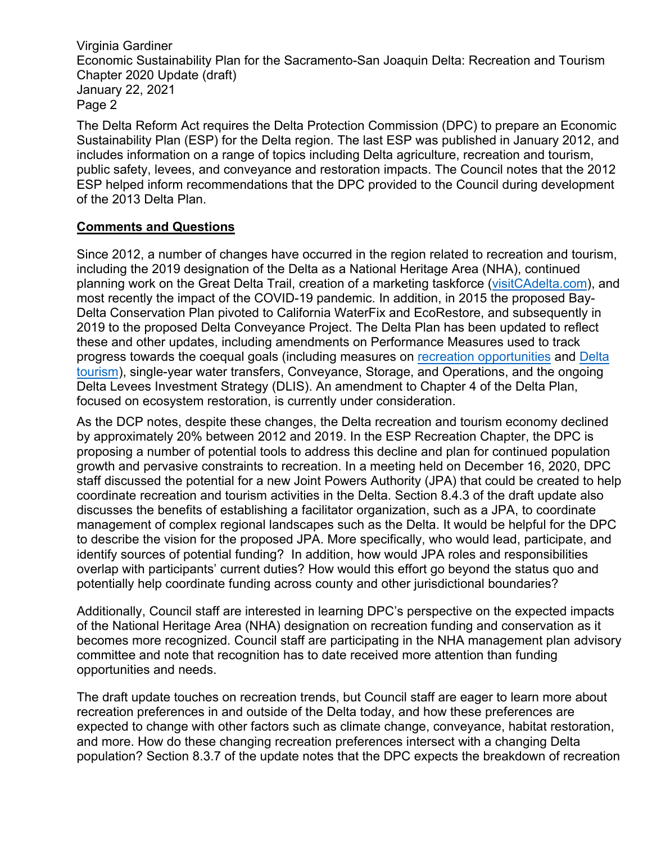Virginia Gardiner Economic Sustainability Plan for the Sacramento-San Joaquin Delta: Recreation and Tourism Chapter 2020 Update (draft) January 22, 2021 Page 2

The Delta Reform Act requires the Delta Protection Commission (DPC) to prepare an Economic Sustainability Plan (ESP) for the Delta region. The last ESP was published in January 2012, and includes information on a range of topics including Delta agriculture, recreation and tourism, public safety, levees, and conveyance and restoration impacts. The Council notes that the 2012 ESP helped inform recommendations that the DPC provided to the Council during development of the 2013 Delta Plan.

# **Comments and Questions**

Since 2012, a number of changes have occurred in the region related to recreation and tourism, including the 2019 designation of the Delta as a National Heritage Area (NHA), continued planning work on the Great Delta Trail, creation of a marketing taskforce [\(visitCAdelta.com](https://visitCAdelta.com)), and most recently the impact of the COVID-19 pandemic. In addition, in 2015 the proposed Bay-Delta Conservation Plan pivoted to California WaterFix and EcoRestore, and subsequently in 2019 to the proposed Delta Conveyance Project. The Delta Plan has been updated to reflect these and other updates, including amendments on Performance Measures used to track progress towards the coequal goals (including measures on recreation opportunities and Delta tourism), single-year water transfers, Conveyance, Storage, and Operations, and the ongoing Delta Levees Investment Strategy (DLIS). An amendment to Chapter 4 of the Delta Plan, focused on ecosystem restoration, is currently under consideration.

As the DCP notes, despite these changes, the Delta recreation and tourism economy declined by approximately 20% between 2012 and 2019. In the ESP Recreation Chapter, the DPC is proposing a number of potential tools to address this decline and plan for continued population growth and pervasive constraints to recreation. In a meeting held on December 16, 2020, DPC staff discussed the potential for a new Joint Powers Authority (JPA) that could be created to help coordinate recreation and tourism activities in the Delta. Section 8.4.3 of the draft update also discusses the benefits of establishing a facilitator organization, such as a JPA, to coordinate management of complex regional landscapes such as the Delta. It would be helpful for the DPC to describe the vision for the proposed JPA. More specifically, who would lead, participate, and identify sources of potential funding? In addition, how would JPA roles and responsibilities overlap with participants' current duties? How would this effort go beyond the status quo and potentially help coordinate funding across county and other jurisdictional boundaries?

Additionally, Council staff are interested in learning DPC's perspective on the expected impacts of the National Heritage Area (NHA) designation on recreation funding and conservation as it becomes more recognized. Council staff are participating in the NHA management plan advisory committee and note that recognition has to date received more attention than funding opportunities and needs.

The draft update touches on recreation trends, but Council staff are eager to learn more about recreation preferences in and outside of the Delta today, and how these preferences are expected to change with other factors such as climate change, conveyance, habitat restoration, and more. How do these changing recreation preferences intersect with a changing Delta population? Section 8.3.7 of the update notes that the DPC expects the breakdown of recreation